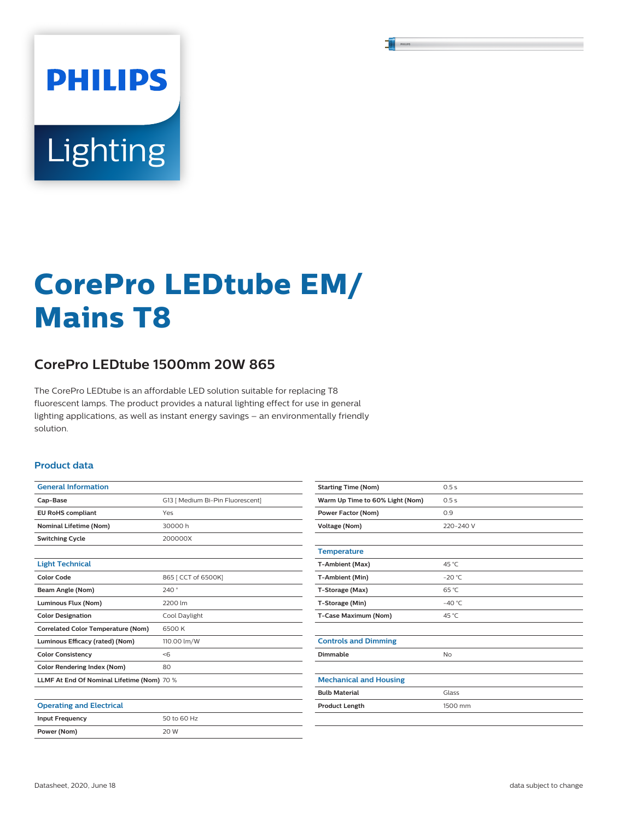# Lighting

**PHILIPS** 

## **CorePro LEDtube EM/ Mains T8**

### **CorePro LEDtube 1500mm 20W 865**

The CorePro LEDtube is an affordable LED solution suitable for replacing T8 fluorescent lamps. The product provides a natural lighting effect for use in general lighting applications, as well as instant energy savings – an environmentally friendly solution.

#### **Product data**

| <b>General Information</b>                 |                                  |  |
|--------------------------------------------|----------------------------------|--|
| Cap-Base                                   | G13   Medium Bi-Pin Fluorescent] |  |
| <b>EU RoHS compliant</b>                   | Yes                              |  |
| <b>Nominal Lifetime (Nom)</b>              | 30000h                           |  |
| <b>Switching Cycle</b>                     | 200000X                          |  |
|                                            |                                  |  |
| <b>Light Technical</b>                     |                                  |  |
| <b>Color Code</b>                          | 865   CCT of 6500K]              |  |
| Beam Angle (Nom)                           | 240°                             |  |
| Luminous Flux (Nom)                        | 2200 lm                          |  |
| <b>Color Designation</b>                   | Cool Daylight                    |  |
| <b>Correlated Color Temperature (Nom)</b>  | 6500 K                           |  |
| Luminous Efficacy (rated) (Nom)            | 110.00 lm/W                      |  |
| <b>Color Consistency</b>                   | <6                               |  |
| <b>Color Rendering Index (Nom)</b><br>80   |                                  |  |
| LLMF At End Of Nominal Lifetime (Nom) 70 % |                                  |  |
|                                            |                                  |  |
| <b>Operating and Electrical</b>            |                                  |  |
| <b>Input Frequency</b>                     | 50 to 60 Hz                      |  |
| Power (Nom)                                | 20 W                             |  |

| <b>Starting Time (Nom)</b>      | 0.5s            |
|---------------------------------|-----------------|
| Warm Up Time to 60% Light (Nom) | 0.5s            |
| Power Factor (Nom)              | 0.9             |
| <b>Voltage (Nom)</b>            | 220-240 V       |
|                                 |                 |
| <b>Temperature</b>              |                 |
| T-Ambient (Max)                 | 45 °C           |
| T-Ambient (Min)                 | $-20 °C$        |
| T-Storage (Max)                 | $65^{\circ}$ C  |
| T-Storage (Min)                 | $-40^{\circ}$ C |
| T-Case Maximum (Nom)            | 45 °C           |
|                                 |                 |
| <b>Controls and Dimming</b>     |                 |
| Dimmable                        | <b>No</b>       |
|                                 |                 |
| <b>Mechanical and Housing</b>   |                 |
| <b>Bulb Material</b>            | Glass           |
| <b>Product Length</b>           | 1500 mm         |
|                                 |                 |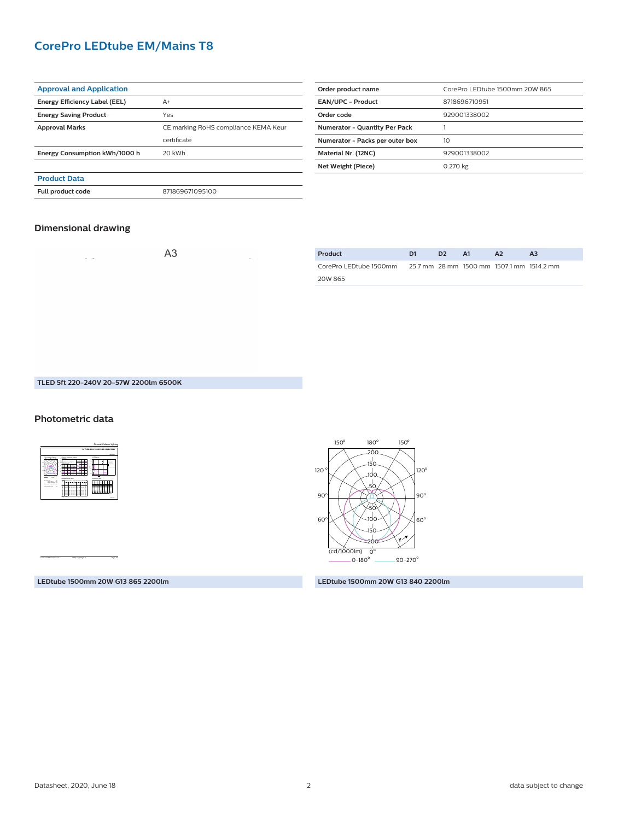#### **CorePro LEDtube EM/Mains T8**

| <b>Approval and Application</b> |                                      |
|---------------------------------|--------------------------------------|
| Energy Efficiency Label (EEL)   | $A+$                                 |
| <b>Energy Saving Product</b>    | Yes                                  |
| <b>Approval Marks</b>           | CE marking RoHS compliance KEMA Keur |
|                                 | certificate                          |
| Energy Consumption kWh/1000 h   | 20 kWh                               |
|                                 |                                      |
| <b>Product Data</b>             |                                      |
| <b>Full product code</b>        | 871869671095100                      |

| Order product name                   | CorePro LEDtube 1500mm 20W 865 |  |  |  |
|--------------------------------------|--------------------------------|--|--|--|
| <b>EAN/UPC - Product</b>             | 8718696710951                  |  |  |  |
| Order code                           | 929001338002                   |  |  |  |
| <b>Numerator - Quantity Per Pack</b> |                                |  |  |  |
| Numerator - Packs per outer box      | 10                             |  |  |  |
| Material Nr. (12NC)                  | 929001338002                   |  |  |  |
| Net Weight (Piece)                   | 0.270 kg                       |  |  |  |

#### **Dimensional drawing**

| $\cdot$ $\cdot$ | A <sub>3</sub> | the control of | $\frac{Pr}{C}$ |
|-----------------|----------------|----------------|----------------|
|                 |                |                |                |
|                 |                |                | 20             |
|                 |                |                |                |
|                 |                |                |                |

| Product                                                          | D1 | D <sub>2</sub> | - A1 | A <sub>2</sub> | A <sub>3</sub> |
|------------------------------------------------------------------|----|----------------|------|----------------|----------------|
| CorePro LEDtube 1500mm 25.7 mm 28 mm 1500 mm 1507.1 mm 1514.2 mm |    |                |      |                |                |
| 20W 865                                                          |    |                |      |                |                |

#### **TLED 5ft 220-240V 20-57W 2200lm 6500K**

#### **Photometric data**



CalcuLuX Photometrics 4.5 Philips Lighting B.V. Page: 1/1



**LEDtube 1500mm 20W G13 840 2200lm**